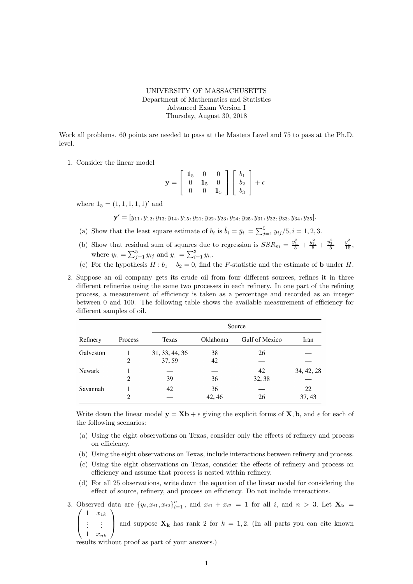## UNIVERSITY OF MASSACHUSETTS Department of Mathematics and Statistics Advanced Exam Version I Thursday, August 30, 2018

Work all problems. 60 points are needed to pass at the Masters Level and 75 to pass at the Ph.D. level.

1. Consider the linear model

$$
\mathbf{y} = \left[ \begin{array}{ccc} \mathbf{1}_5 & 0 & 0 \\ 0 & \mathbf{1}_5 & 0 \\ 0 & 0 & \mathbf{1}_5 \end{array} \right] \left[ \begin{array}{c} b_1 \\ b_2 \\ b_3 \end{array} \right] + \epsilon
$$

where  $\mathbf{1}_5 = (1, 1, 1, 1, 1)$  and

 ${\bf y}' = [y_{11}, y_{12}, y_{13}, y_{14}, y_{15}, y_{21}, y_{22}, y_{23}, y_{24}, y_{25}, y_{31}, y_{32}, y_{33}, y_{34}, y_{35}].$ 

- (a) Show that the least square estimate of  $b_i$  is  $\hat{b}_i = \bar{y}_{i.} = \sum_{j=1}^5 y_{ij}/5, i = 1, 2, 3$ .
- (b) Show that residual sum of squares due to regression is  $SSR_m = \frac{y_1^2}{5} + \frac{y_2^2}{5} + \frac{y_3^2}{5} \frac{y^2}{15}$ , where  $y_{i.} = \sum_{j=1}^{5} y_{ij}$  and  $y_{..} = \sum_{i=1}^{3} y_i$ .
- (c) For the hypothesis  $H : b_1 b_2 = 0$ , find the F-statistic and the estimate of **b** under H.
- 2. Suppose an oil company gets its crude oil from four different sources, refines it in three different refineries using the same two processes in each refinery. In one part of the refining process, a measurement of efficiency is taken as a percentage and recorded as an integer between 0 and 100. The following table shows the available measurement of efficiency for different samples of oil.

| Refinery      | Process | Source         |          |                |            |
|---------------|---------|----------------|----------|----------------|------------|
|               |         | Texas          | Oklahoma | Gulf of Mexico | Iran       |
| Galveston     |         | 31, 33, 44, 36 | 38       | 26             |            |
|               | 2       | 37, 59         | 42       |                |            |
| <b>Newark</b> |         |                |          | 42             | 34, 42, 28 |
|               | 2       | 39             | 36       | 32, 38         |            |
| Savannah      |         | 42             | 36       |                | 22         |
|               | 2       |                | 42, 46   | 26             | 37, 43     |

Write down the linear model  $y = Xb + \epsilon$  giving the explicit forms of X, b, and  $\epsilon$  for each of the following scenarios:

- (a) Using the eight observations on Texas, consider only the effects of refinery and process on efficiency.
- (b) Using the eight observations on Texas, include interactions between refinery and process.
- (c) Using the eight observations on Texas, consider the effects of refinery and process on efficiency and assume that process is nested within refinery.
- (d) For all 25 observations, write down the equation of the linear model for considering the effect of source, refinery, and process on efficiency. Do not include interactions.
- 3. Observed data are  $\{y_i, x_{i1}, x_{i2}\}_{i=1}^n$ , and  $x_{i1} + x_{i2} = 1$  for all i, and  $n > 3$ . Let  $\mathbf{X_k} =$   $\begin{pmatrix} 1 & x_{1k} \end{pmatrix}$  $1 \quad x_{1k}$  $\setminus$ 
	- $\overline{ }$ . . . . . .  $1 \quad x_{nk}$ and suppose  $\mathbf{X}_k$  has rank 2 for  $k = 1, 2$ . (In all parts you can cite known

results without proof as part of your answers.)